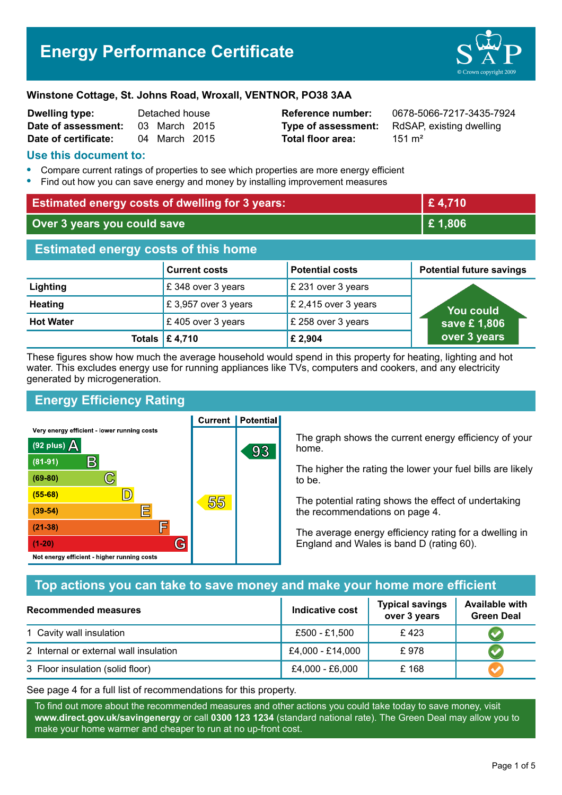

| <b>Dwelling type:</b> | Detached house |               |  |
|-----------------------|----------------|---------------|--|
| Date of assessment:   |                | 03 March 2015 |  |
| Date of certificate:  |                | 04 March 2015 |  |

**Total floor area:** 151 m<sup>2</sup>

**Reference number:** 0678-5066-7217-3435-7924 **Type of assessment:** RdSAP, existing dwelling

### **Use this document to:**

- **•** Compare current ratings of properties to see which properties are more energy efficient
- **•** Find out how you can save energy and money by installing improvement measures

| <b>Estimated energy costs of dwelling for 3 years:</b> |                           |                        | £4,710                          |  |
|--------------------------------------------------------|---------------------------|------------------------|---------------------------------|--|
| Over 3 years you could save                            |                           | £1,806                 |                                 |  |
| <b>Estimated energy costs of this home</b>             |                           |                        |                                 |  |
|                                                        | <b>Current costs</b>      | <b>Potential costs</b> | <b>Potential future savings</b> |  |
| Lighting                                               | £348 over 3 years         | £ 231 over 3 years     |                                 |  |
| <b>Heating</b>                                         | £3,957 over 3 years       | £ 2,415 over 3 years   | <b>You could</b>                |  |
| <b>Hot Water</b>                                       | £405 over 3 years         | £ 258 over 3 years     | save £1,806                     |  |
|                                                        | Totals $\mathsf{E}$ 4,710 | £ 2,904                | over 3 years                    |  |

These figures show how much the average household would spend in this property for heating, lighting and hot water. This excludes energy use for running appliances like TVs, computers and cookers, and any electricity generated by microgeneration.

**Current | Potential** 

# **Energy Efficiency Rating**

Very energy efficient - lower running costs



The graph shows the current energy efficiency of your home.

The higher the rating the lower your fuel bills are likely to be.

The potential rating shows the effect of undertaking the recommendations on page 4.

The average energy efficiency rating for a dwelling in England and Wales is band D (rating 60).

## **Top actions you can take to save money and make your home more efficient**

| Recommended measures                   | <b>Indicative cost</b> | <b>Typical savings</b><br>over 3 years | <b>Available with</b><br><b>Green Deal</b> |
|----------------------------------------|------------------------|----------------------------------------|--------------------------------------------|
| 1 Cavity wall insulation               | £500 - £1,500          | £423                                   |                                            |
| 2 Internal or external wall insulation | £4,000 - £14,000       | £978                                   |                                            |
| 3 Floor insulation (solid floor)       | £4,000 - £6,000        | £168                                   |                                            |

See page 4 for a full list of recommendations for this property.

To find out more about the recommended measures and other actions you could take today to save money, visit **www.direct.gov.uk/savingenergy** or call **0300 123 1234** (standard national rate). The Green Deal may allow you to make your home warmer and cheaper to run at no up-front cost.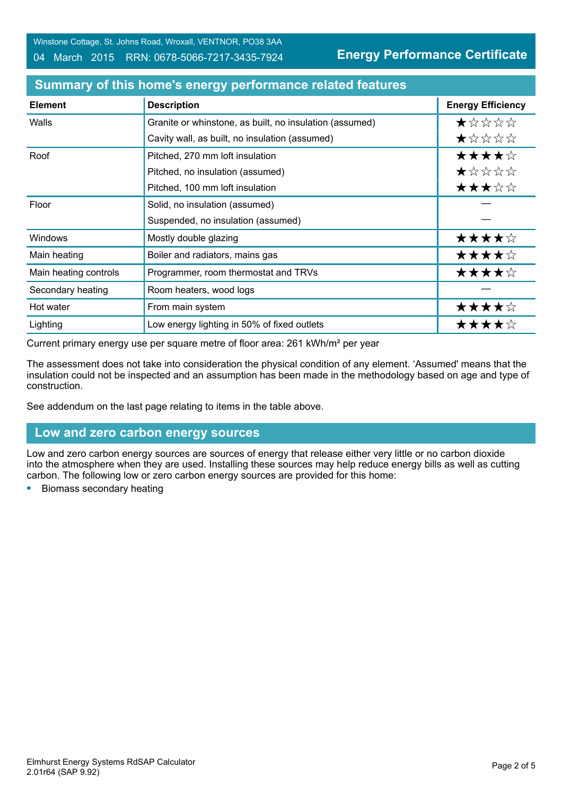#### 04 March 2015 RRN: 0678-5066-7217-3435-7924

**Energy Performance Certificate**

| <b>Element</b>        | <b>Description</b>                                      | <b>Energy Efficiency</b> |
|-----------------------|---------------------------------------------------------|--------------------------|
| Walls                 | Granite or whinstone, as built, no insulation (assumed) | ★☆☆☆☆                    |
|                       | Cavity wall, as built, no insulation (assumed)          | *****                    |
| Roof                  | Pitched, 270 mm loft insulation                         | ★★★★☆                    |
|                       | Pitched, no insulation (assumed)                        | ★☆☆☆☆                    |
|                       | Pitched, 100 mm loft insulation                         | ★★★☆☆                    |
| Floor                 | Solid, no insulation (assumed)                          |                          |
|                       | Suspended, no insulation (assumed)                      |                          |
| <b>Windows</b>        | Mostly double glazing                                   | ★★★★☆                    |
| Main heating          | Boiler and radiators, mains gas                         | ★★★★☆                    |
| Main heating controls | Programmer, room thermostat and TRVs                    | ★★★★☆                    |
| Secondary heating     | Room heaters, wood logs                                 |                          |
| Hot water             | From main system                                        | ★★★★☆                    |
| Lighting              | Low energy lighting in 50% of fixed outlets             | ★★★★☆                    |

### **Summary of this home's energy performance related features**

Current primary energy use per square metre of floor area: 261 kWh/m² per year

The assessment does not take into consideration the physical condition of any element. 'Assumed' means that the insulation could not be inspected and an assumption has been made in the methodology based on age and type of construction.

See addendum on the last page relating to items in the table above.

### **Low and zero carbon energy sources**

Low and zero carbon energy sources are sources of energy that release either very little or no carbon dioxide into the atmosphere when they are used. Installing these sources may help reduce energy bills as well as cutting carbon. The following low or zero carbon energy sources are provided for this home:

**•** Biomass secondary heating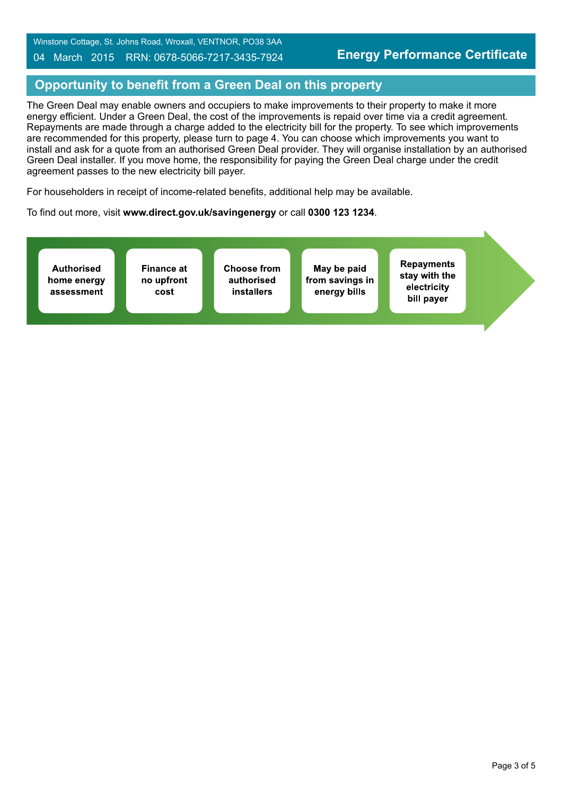#### 04 March 2015 RRN: 0678-5066-7217-3435-7924

# **Opportunity to benefit from a Green Deal on this property**

The Green Deal may enable owners and occupiers to make improvements to their property to make it more energy efficient. Under a Green Deal, the cost of the improvements is repaid over time via a credit agreement. Repayments are made through a charge added to the electricity bill for the property. To see which improvements are recommended for this property, please turn to page 4. You can choose which improvements you want to install and ask for a quote from an authorised Green Deal provider. They will organise installation by an authorised Green Deal installer. If you move home, the responsibility for paying the Green Deal charge under the credit agreement passes to the new electricity bill payer.

For householders in receipt of income-related benefits, additional help may be available.

To find out more, visit **www.direct.gov.uk/savingenergy** or call **0300 123 1234**.

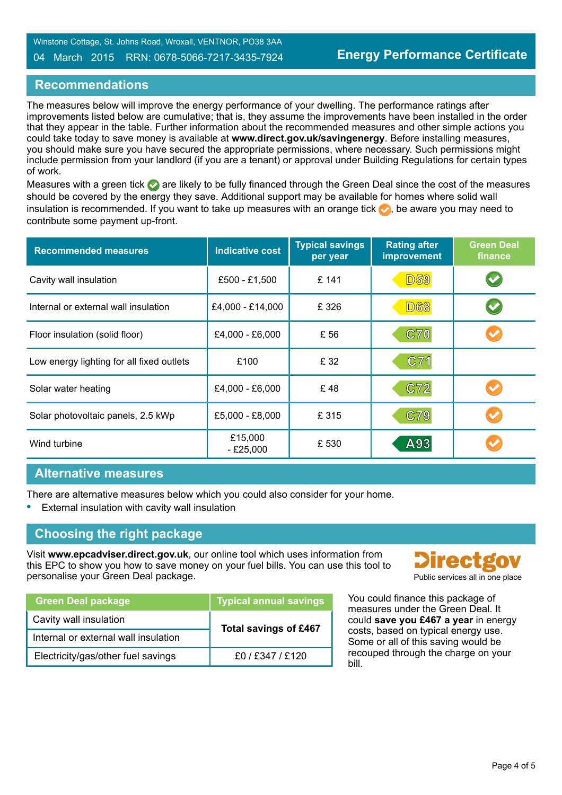#### 04 March 2015 RRN: 0678-5066-7217-3435-7924

## **Recommendations**

The measures below will improve the energy performance of your dwelling. The performance ratings after improvements listed below are cumulative; that is, they assume the improvements have been installed in the order that they appear in the table. Further information about the recommended measures and other simple actions you could take today to save money is available at **www.direct.gov.uk/savingenergy**. Before installing measures, you should make sure you have secured the appropriate permissions, where necessary. Such permissions might include permission from your landlord (if you are a tenant) or approval under Building Regulations for certain types of work.

Measures with a green tick are likely to be fully financed through the Green Deal since the cost of the measures should be covered by the energy they save. Additional support may be available for homes where solid wall insulation is recommended. If you want to take up measures with an orange tick  $\bullet$ , be aware you may need to contribute some payment up-front.

| <b>Recommended measures</b>               | <b>Indicative cost</b> | <b>Typical savings</b><br>per year | <b>Rating after</b><br>improvement | <b>Green Deal</b><br>finance |
|-------------------------------------------|------------------------|------------------------------------|------------------------------------|------------------------------|
| Cavity wall insulation                    | £500 - £1,500          | £ 141                              | <b>D59</b>                         |                              |
| Internal or external wall insulation      | £4,000 - £14,000       | £ 326                              | <b>D68</b>                         |                              |
| Floor insulation (solid floor)            | £4,000 - £6,000        | £ 56                               |                                    |                              |
| Low energy lighting for all fixed outlets | £100                   | £ 32                               | C71                                |                              |
| Solar water heating                       | £4,000 - £6,000        | £48                                | C72                                |                              |
| Solar photovoltaic panels, 2.5 kWp        | £5,000 - £8,000        | £ 315                              | C79                                |                              |
| Wind turbine                              | £15,000<br>$- E25,000$ | £ 530                              | A93                                |                              |

## **Alternative measures**

There are alternative measures below which you could also consider for your home.

**•** External insulation with cavity wall insulation

## **Choosing the right package**

Visit **www.epcadviser.direct.gov.uk**, our online tool which uses information from this EPC to show you how to save money on your fuel bills. You can use this tool to personalise your Green Deal package. Public services all in one place

| <b>Green Deal package</b>            | <b>Typical annual savings</b> |  |
|--------------------------------------|-------------------------------|--|
| Cavity wall insulation               | Total savings of £467         |  |
| Internal or external wall insulation |                               |  |
| Electricity/gas/other fuel savings   | $f0/$ $f347/$ $f120$          |  |



You could finance this package of measures under the Green Deal. It could **save you £467 a year** in energy costs, based on typical energy use. Some or all of this saving would be recouped through the charge on your bill.